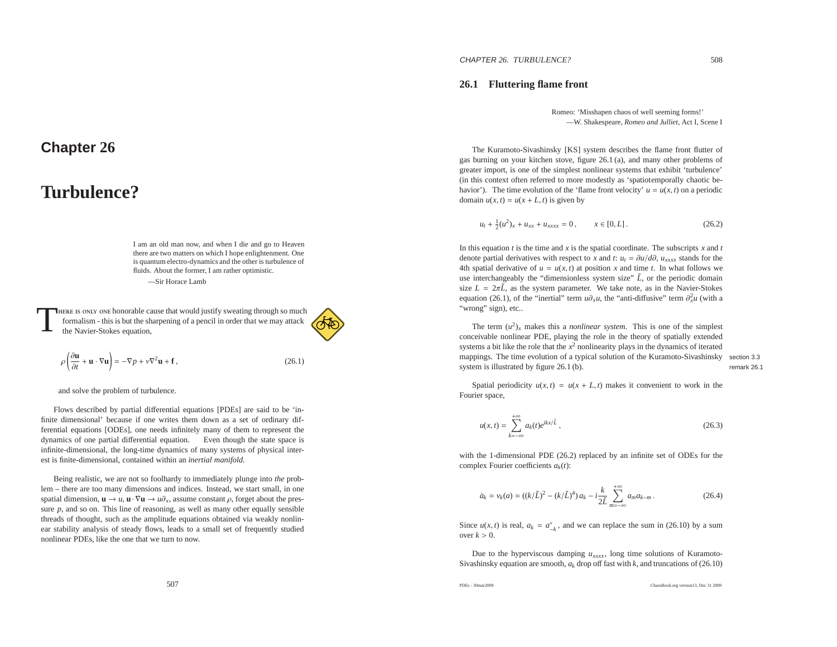# **Chapter <sup>26</sup>**

# **Turbulence?**

I am an old man now, and when I die and go to Heaven there are two matters on which I hope enlightenment. One is quantum electro-dynamics and the other is turbulence offluids. About the former, I am rather optimistic. —Sir Horace Lamb

THERE IS ONLY ONE honorable cause that would justify sweating through so much formalism - this is but the sharpening of a pencil in order that we may attack the Navier-Stokes equation,

$$
\rho \left( \frac{\partial \mathbf{u}}{\partial t} + \mathbf{u} \cdot \nabla \mathbf{u} \right) = -\nabla p + \nu \nabla^2 \mathbf{u} + \mathbf{f},\tag{26.1}
$$

and solve the problem of turbulence.

Flows described by partial differential equations [PDEs] are said to be 'infinite dimensional' because if one writes them down as <sup>a</sup> set of ordinary differential equations [ODEs], one needs infinitely many of them to represen<sup>t</sup> the dynamics of one partial differential equation. Even though the state space is infinite-dimensional, the long-time dynamics of many systems of physical interest is finite-dimensional, contained within an *inertial manifold*.

Being realistic, we are not so foolhardy to immediately plunge into *the* problem – there are too many dimensions and indices. Instead, we start small, in onespatial dimension,  $\mathbf{u} \to u$ ,  $\mathbf{u} \cdot \nabla \mathbf{u} \to u \partial_x$ , assume constant  $\rho$ , forget about the pres-<br>sum  $\mathbf{v}$ , and so on This line of recessing, so well as mony other squally sensible sure *<sup>p</sup>*, and so on. This line of reasoning, as well as many other equally sensible threads of thought, such as the amplitude equations obtained via weakly nonlinear stability analysis of steady flows, leads to <sup>a</sup> small set of frequently studiednonlinear PDEs, like the one that we turn to now.

#### **26.1 Fluttering flame front**

Romeo: 'Misshapen chaos of well seeming forms!'—W. Shakespeare, *Romeo and Julliet*, Act I, Scene I

The Kuramoto-Sivashinsky [KS] system describes the flame front flutter of gas burning on your kitchen stove, figure 26.1 (a), and many other problems of greater import, is one of the simplest nonlinear systems that exhibit 'turbulence' (in this context often referred to more modestly as 'spatiotemporally chaotic behavior'). The time evolution of the 'flame front velocity'  $u = u(x, t)$  on a periodic domain  $u(x, t) = u(x + L, t)$  is given by

$$
u_t + \frac{1}{2}(u^2)_x + u_{xx} + u_{xxxx} = 0, \qquad x \in [0, L].
$$
 (26.2)

In this equation *<sup>t</sup>* is the time and *<sup>x</sup>* is the spatial coordinate. The subscripts *<sup>x</sup>* and *<sup>t</sup>* denote partial derivatives with respect to *x* and *t*:  $u_t = \frac{\partial u}{d\theta}$ ,  $u_{xxxx}$  stands for the 4th spatial derivative of  $u = u(x, t)$  at position *x* and time *t*. In what follows we use interchangeably the "dimensionless system size"  $\tilde{L}$ , or the periodic domain size  $L = 2\pi \tilde{L}$ , as the system parameter. We take note, as in the Navier-Stokes equation (26.1), of the "inertial" term  $u\partial_x u$ , the "anti-diffusive" term  $\partial_x^2 u$  (with a "wrong" sign), etc..

The term  $(u^2)_x$  makes this a *nonlinear system*. This is one of the simplest conceivable nonlinear PDE, playing the role in the theory of spatially extendedsystems a bit like the role that the  $x^2$  nonlinearity plays in the dynamics of iterated mappings. The time evolution of <sup>a</sup> typical solution of the Kuramoto-Sivashinsky section 3.3 system is illustrated by figure 26.1 (b). The remark 26.1 remark 26.1

Spatial periodicity  $u(x, t) = u(x + L, t)$  makes it convenient to work in the Fourier space,

$$
u(x,t) = \sum_{k=-\infty}^{+\infty} a_k(t)e^{ikx/\tilde{L}},
$$
\n(26.3)

with the 1-dimensional PDE (26.2) replaced by an infinite set of ODEs for thecomplex Fourier coefficients *<sup>a</sup>k*(*t*):

$$
\dot{a}_k = v_k(a) = ((k/\tilde{L})^2 - (k/\tilde{L})^4) a_k - i \frac{k}{2\tilde{L}} \sum_{m=-\infty}^{+\infty} a_m a_{k-m} \,. \tag{26.4}
$$

Since  $u(x, t)$  is real,  $a_k = a_{-k}^*$ , and we can replace the sum in (26.10) by a sum over  $k > 0$ .

Due to the hyperviscous damping  $u_{xxxx}$ , long time solutions of Kuramoto-Sivashinsky equation are smooth, *<sup>a</sup><sup>k</sup>* drop <sup>o</sup>ff fast with *<sup>k</sup>*, and truncations of (26.10)

PDEs - 30mar2009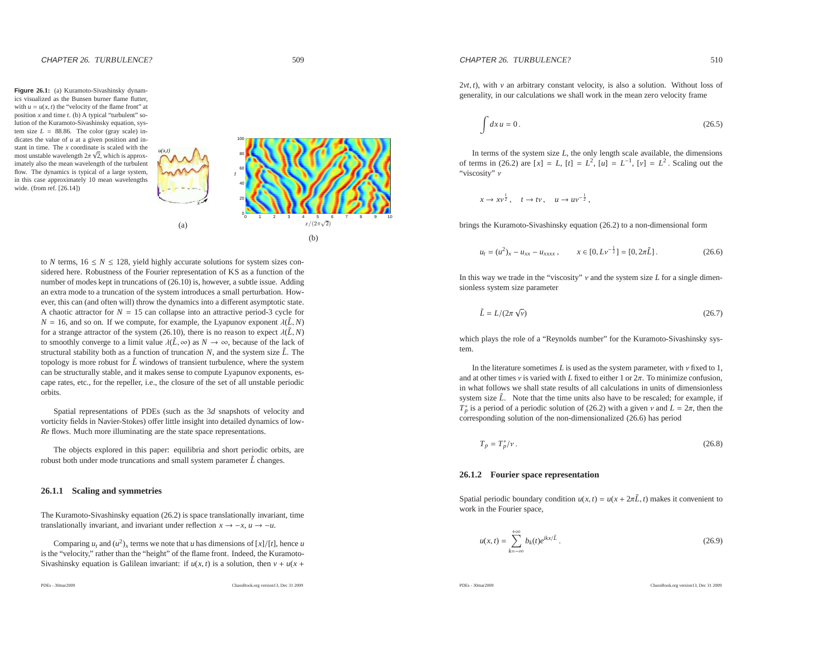**Figure 26.1:** (a) Kuramoto-Sivashinsky dynamics visualized as the Bunsen burner flame flutter, with  $u = u(x, t)$  the "velocity of the flame front" at position *<sup>x</sup>* and time *<sup>t</sup>*. (b) <sup>A</sup> typical "turbulent" solution of the Kuramoto-Sivashinsky equation, system size  $L = 88.86$ . The color (gray scale) indicates the value of *<sup>u</sup>* at <sup>a</sup> <sup>g</sup>iven position and instant in time. The *<sup>x</sup>* coordinate is scaled with the most unstable wavelength  $2\pi \sqrt{2}$ , which is approximately also the mean wavelength of the turbulent flow. The dynamics is typical of <sup>a</sup> large system, in this case approximately 10 mean wavelengthswide. (from ref. [26.14])



to *N* terms,  $16 \le N \le 128$ , yield highly accurate solutions for system sizes considered here. Robustness of the Fourier representation of KS as <sup>a</sup> function of the number of modes kept in truncations of (26.10) is, however, <sup>a</sup> subtle issue. Adding an extra mode to <sup>a</sup> truncation of the system introduces <sup>a</sup> small perturbation. However, this can (and often will) throw the dynamics into <sup>a</sup> different asymptotic state. A chaotic attractor for  $N = 15$  can collapse into an attractive period-3 cycle for  $N = 16$ , and so on. If we compute, for example, the Lyapunov exponent  $\lambda(\tilde{L}, N)$ for a strange attractor of the system (26.10), there is no reason to expect  $\lambda(\tilde{L}, N)$ to smoothly converge to a limit value  $\lambda(\tilde{L}, \infty)$  as  $N \to \infty$ , because of the lack of structural stability both as a function of truncation  $N$ , and the system size  $\tilde{L}$ . The topology is more robust for  $\tilde{L}$  windows of transient turbulence, where the system can be structurally stable, and it makes sense to compute Lyapunov exponents, escape rates, etc., for the repeller, i.e., the closure of the set of all unstable periodicorbits.

*u(x,t)*

Spatial representations of PDEs (such as the 3*d* snapshots of velocity and vorticity fields in Navier-Stokes) <sup>o</sup>ffer little insight into detailed dynamics of low-*Re* flows. Much more illuminating are the state space representations.

The objects explored in this paper: equilibria and short periodic orbits, arerobust both under mode truncations and small system parameter  $\tilde{L}$  changes.

#### **26.1.1 Scaling and symmetries**

The Kuramoto-Sivashinsky equation (26.2) is space translationally invariant, timetranslationally invariant, and invariant under reflection  $x \to -x$ ,  $u \to -u$ .

Comparing  $u_t$  and  $(u^2)_x$  terms we note that *u* has dimensions of  $[x]/[t]$ , hence *u* is the "velocity," rather than the "height" of the flame front. Indeed, the Kuramoto-Sivashinsky equation is Galilean invariant: if  $u(x, t)$  is a solution, then  $v + u(x + t)$ 

ChaosBook.org version13, Dec <sup>31</sup> <sup>2009</sup>

2*vt*, *<sup>t</sup>*), with *<sup>v</sup>* an arbitrary constant velocity, is also <sup>a</sup> solution. Without loss of generality, in our calculations we shall work in the mean zero velocity frame

$$
\int dx u = 0. \tag{26.5}
$$

In terms of the system size *<sup>L</sup>*, the only length scale available, the dimensions of terms in (26.2) are  $[x] = L$ ,  $[t] = L^2$ ,  $[u] = L^{-1}$ ,  $[v] = L^2$ . Scaling out the "viscosity" <sup>ν</sup>

$$
x \to xv^{\frac{1}{2}}, \quad t \to tv, \quad u \to uv^{-\frac{1}{2}},
$$

brings the Kuramoto-Sivashinsky equation (26.2) to <sup>a</sup> non-dimensional form

$$
u_t = (u^2)_x - u_{xx} - u_{xxxx}, \qquad x \in [0, Lv^{-\frac{1}{2}}] = [0, 2\pi \tilde{L}].
$$
 (26.6)

In this way we trade in the "viscosity" <sup>ν</sup> and the system size *<sup>L</sup>* for <sup>a</sup> single dimensionless system size parameter

$$
\tilde{L} = L/(2\pi \sqrt{\nu})\tag{26.7}
$$

which plays the role of <sup>a</sup> "Reynolds number" for the Kuramoto-Sivashinsky system.

In the literature sometimes *<sup>L</sup>* is used as the system parameter, with <sup>ν</sup> fixed to 1, and at other times  $\nu$  is varied with *L* fixed to either 1 or  $2\pi$ . To minimize confusion, in what follows we shall state results of all calculations in units of dimensionless system size  $\tilde{L}$ . Note that the time units also have to be rescaled; for example, if *T*<sup>\*</sup><sub>*p*</sub> is a period of a periodic solution of (26.2) with a given  $\nu$  and  $L = 2\pi$ , then the corresponding solution of the non-dimensionalized (26.6) has period

$$
T_p = T_p^* / \nu. \tag{26.8}
$$

#### **26.1.2 Fourier space representation**

Spatial periodic boundary condition  $u(x, t) = u(x + 2\pi \tilde{L}, t)$  makes it convenient to work in the Fourier space,

$$
u(x,t) = \sum_{k=-\infty}^{+\infty} b_k(t) e^{ikx/\tilde{L}}.
$$
 (26.9)

PDEs - 30mar2009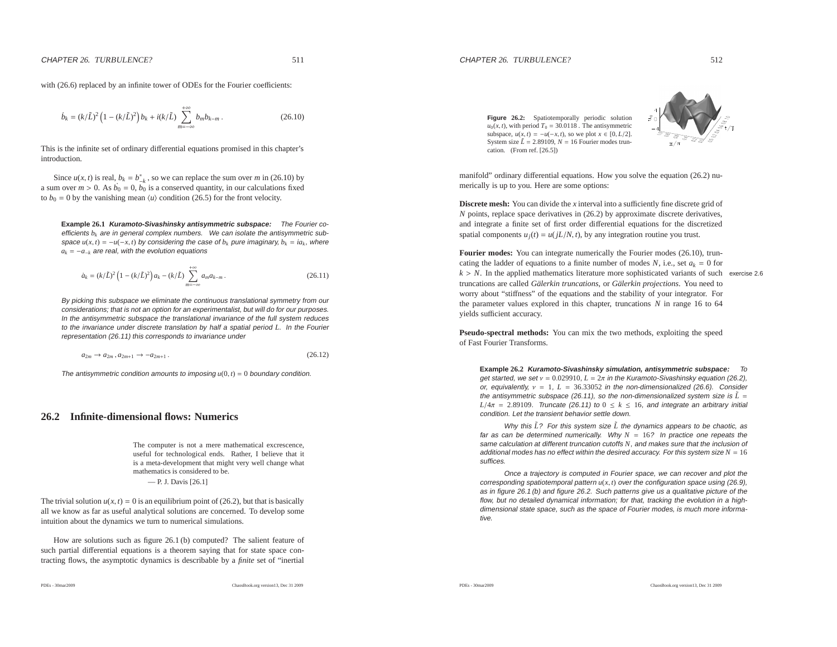with (26.6) replaced by an infinite tower of ODEs for the Fourier coefficients:

$$
\dot{b}_k = (k/\tilde{L})^2 \left( 1 - (k/\tilde{L})^2 \right) b_k + i(k/\tilde{L}) \sum_{m = -\infty}^{+\infty} b_m b_{k-m} \,. \tag{26.10}
$$

This is the infinite set of ordinary differential equations promised in this chapter'sintroduction.

Since  $u(x, t)$  is real,  $b_k = b_{-k}^*$ , so we can replace the sum over *m* in (26.10) by a sum over  $m > 0$ . As  $b_0 = 0$ ,  $b_0$  is a conserved quantity, in our calculations fixed to  $b_0 = 0$  by the vanishing mean  $\langle u \rangle$  condition (26.5) for the front velocity.

**Example 26.1 Kuramoto-Sivashinsky antisymmetric subspace:** The Fourier coefficients *<sup>b</sup><sup>k</sup>* are in general complex numbers. We can isolate the antisymmetric subspace  $u(x, t) = -u(-x, t)$  by considering the case of  $b_k$  pure imaginary,  $b_k = ia_k$ , where *ak* <sup>=</sup> <sup>−</sup>*a*−*<sup>k</sup>* are real, with the evolution equations

$$
\dot{a}_k = (k/L)^2 \left( 1 - (k/L)^2 \right) a_k - (k/L) \sum_{m = -\infty}^{+\infty} a_m a_{k-m} \,. \tag{26.11}
$$

By picking this subspace we eliminate the continuous translational symmetry from our considerations; that is not an option for an experimentalist, but will do for our purposes. In the antisymmetric subspace the translational invariance of the full system reduces to the invariance under discrete translation by half <sup>a</sup> spatial period *<sup>L</sup>*. In the Fourier representation (26.11) this corresponds to invariance under

 $a_{2m} \to a_{2m}, a_{2m+1} \to -a_{2m+1}$  . (26.12)

The antisymmetric condition amounts to imposing *<sup>u</sup>*(0, *<sup>t</sup>*) <sup>=</sup> <sup>0</sup> boundary condition.

### **26.2 Infinite-dimensional flows: Numerics**

The computer is not <sup>a</sup> mere mathematical excrescence, useful for technological ends. Rather, I believe that it is <sup>a</sup> meta-development that might very well change whatmathematics is considered to be. — P. J. Davis [26.1]

The trivial solution  $u(x, t) = 0$  is an equilibrium point of (26.2), but that is basically all we know as far as useful analytical solutions are concerned. To develop someintuition about the dynamics we turn to numerical simulations.

How are solutions such as figure 26.1 (b) computed? The salient feature of such partial differential equations is <sup>a</sup> theorem saying that for state space contracting flows, the asymptotic dynamics is describable by <sup>a</sup> *finite* set of "inertial

**Figure 26.2:** Spatiotemporally periodic solution  $u_0(x, t)$ , with period  $T_0 = 30.0118$ . The antisymmetric subspace,  $u(x, t) = -u(-x, t)$ , so we plot  $x \in [0, L/2]$ . System size  $\tilde{L} = 2.89109$ ,  $N = 16$  Fourier modes truncation. (From ref. [26.5])



manifold" ordinary differential equations. How you solve the equation (26.2) numerically is up to you. Here are some options:

**Discrete mesh:** You can divide the *<sup>x</sup>* interval into <sup>a</sup> sufficiently fine discrete grid of *N* points, replace space derivatives in (26.2) by approximate discrete derivatives, and integrate <sup>a</sup> finite set of first order differential equations for the discretizedspatial components  $u_j(t) = u(jL/N, t)$ , by any integration routine you trust.

**Fourier modes:** You can integrate numerically the Fourier modes (26.10), truncating the ladder of equations to a finite number of modes *N*, i.e., set  $a_k = 0$  for  $k > N$ . In the applied mathematics literature more sophisticated variants of such exercise 2.6 truncations are called *G¨alerkin truncations*, or *G¨alerkin projections*. You need to worry about "stiffness" of the equations and the stability of your integrator. For the parameter values explored in this chapter, truncations *<sup>N</sup>* in range <sup>16</sup> to <sup>64</sup> yields sufficient accuracy.

**Pseudo-spectral methods:** You can mix the two methods, exploiting the spee<sup>d</sup>of Fast Fourier Transforms.

**Example 26.2 Kuramoto-Sivashinsky simulation, antisymmetric subspace:** To get started, we set <sup>ν</sup> <sup>=</sup> <sup>0</sup>.029910, *<sup>L</sup>* <sup>=</sup> <sup>2</sup><sup>π</sup> in the Kuramoto-Sivashinsky equation (26.2), or, equivalently, <sup>ν</sup> <sup>=</sup> <sup>1</sup>, *<sup>L</sup>* <sup>=</sup> <sup>36</sup>.<sup>33052</sup> in the non-dimensionalized (26.6). Consider the antisymmetric subspace (26.11), so the non-dimensionalized system size is  $\tilde{L}$  =  $L/4\pi$  = 2.89109. Truncate (26.11) to  $0 \le k \le 16$ , and integrate an arbitrary initial condition. Let the transient behavior settle down.

Why this  $\tilde{L}$ ? For this system size  $\tilde{L}$  the dynamics appears to be chaotic, as far as can be determined numerically. Why  $N = 16$ ? In practice one repeats the same calculation at different truncation cutoffs *<sup>N</sup>*, and makes sure that the inclusion of additional modes has no effect within the desired accuracy. For this system size *<sup>N</sup>* <sup>=</sup> <sup>16</sup> suffices.

Once <sup>a</sup> trajectory is computed in Fourier space, we can recover and plot the corresponding spatiotemporal pattern *<sup>u</sup>*(*<sup>x</sup>*, *<sup>t</sup>*) over the configuration space using (26.9), as in figure 26.1 (b) and figure 26.2. Such patterns give us <sup>a</sup> qualitative picture of the flow, but no detailed dynamical information; for that, tracking the evolution in <sup>a</sup> highdimensional state space, such as the space of Fourier modes, is much more informative.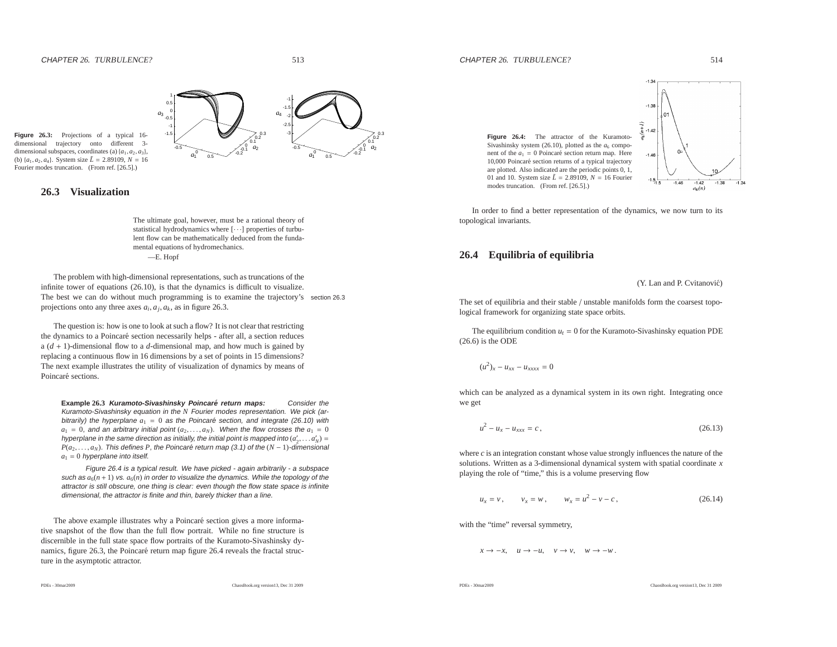-3

-2.5-2

*a*4

-0.5

*a*1

0.5 $\sim$   $\sim$   $\sim$   $\sim$   $\sim$ -0.10.10.2

 $3! / 2^{0.3}$ 

*a*2

**Figure 26.3:** Projections of <sup>a</sup> typical 16 dimensional trajectory onto different 3dimensional subspaces, coordinates (a)  $\{a_1, a_2, a_3\}$ , (b)  $\{a_1, a_2, a_4\}$ . System size  $\tilde{L} = 2.89109, N = 16$ Fourier modes truncation. (From ref. [26.5].)

## **26.3 Visualization**

The ultimate goal, however, must be <sup>a</sup> rational theory of statistical hydrodynamics where [· · ·] properties of turbulent flow can be mathematically deduced from the fundamental equations of hydromechanics. —E. Hopf

0.5 $\sim$   $\sim$   $\sim$   $\sim$ -0.10.10.2

0.3

*a*2

The problem with high-dimensional representations, such as truncations of the infinite tower of equations (26.10), is that the dynamics is difficult to visualize. The best we can do without much programming is to examine the trajectory's section 26.3projections onto any three axes  $a_i$ ,  $a_j$ ,  $a_k$ , as in figure 26.3.

-0.5

*a*1

-1.5

-1-0.50.5

*a*3

The question is: how is one to look at such <sup>a</sup> flow? It is not clear that restrictingthe dynamics to a Poincaré section necessarily helps - after all, a section reduces <sup>a</sup> (*d* <sup>+</sup> 1)-dimensional flow to <sup>a</sup> *<sup>d</sup>*-dimensional map, and how much is gained by replacing <sup>a</sup> continuous flow in 16 dimensions by <sup>a</sup> set of points in <sup>15</sup> dimensions? The next example illustrates the utility of visualization of dynamics by means ofPoincaré sections.

**Example 26.3 Kuramoto-Sivashinsky Poincare return maps: ´** Consider the Kuramoto-Sivashinsky equation in the *<sup>N</sup>* Fourier modes representation. We pick (arbitrarily) the hyperplane  $a_1 = 0$  as the Poincaré section, and integrate (26.10) with  $a_1 = 0$ , and an arbitrary initial point  $(a_2, \ldots, a_N)$ . When the flow crosses the  $a_1 = 0$ <br>byperplane in the same direction as initially the initial point is mapped into  $(a' = a') =$ hyperplane in the same direction as initially, the initial point is mapped into  $(a'_1, \ldots, a'_N)$  =  $\mathcal{O}\left(a'_{2}, \ldots a'_{N}\right) = 0$ *<sup>P</sup>*(*<sup>a</sup>*2, . . . , *<sup>a</sup>N*). This defines *<sup>P</sup>*, the Poincare return map (3.1) of the ´ (*<sup>N</sup>* <sup>−</sup> 1)-dimensional  $a_1 = 0$  hyperplane into itself.

Figure 26.4 is <sup>a</sup> typical result. We have picked - again arbitrarily - <sup>a</sup> subspacesuch as  $a_6(n+1)$  vs.  $a_6(n)$  in order to visualize the dynamics. While the topology of the attractor is still obscure, one thing is clear: even though the flow state space is infinitedimensional, the attractor is finite and thin, barely thicker than <sup>a</sup> line.

The above example illustrates why a Poincaré section gives a more informative snapshot of the flow than the full flow portrait. While no fine structure is discernible in the full state space flow portraits of the Kuramoto-Sivashinsky dynamics, figure 26.3, the Poincaré return map figure 26.4 reveals the fractal structure in the asymptotic attractor.

ChaosBook.org version13, Dec <sup>31</sup> <sup>2009</sup>

CHAPTER 26. TURBULENCE? 514

**Figure 26.4:** The attractor of the Kuramoto-Sivashinsky system  $(26.10)$ , plotted as the  $a<sub>6</sub>$  component of the  $a_1 = 0$  Poincaré section return map. Here 10,000 Poincaré section returns of a typical trajectory are plotted. Also indicated are the periodic points 0, 1, 01 and 10. System size  $\tilde{L} = 2.89109$ ,  $N = 16$  Fourier modes truncation. (From ref. [26.5].)



In order to find <sup>a</sup> better representation of the dynamics, we now turn to itstopological invariants.

## **26.4 Equilibria of equilibria**

(Y. Lan and P. Cvitanović)

The set of equilibria and their stable / unstable manifolds form the coarsest topological framework for organizing state space orbits.

The equilibrium condition  $u_t = 0$  for the Kuramoto-Sivashinsky equation PDE  $(26.6)$  is the ODE

$$
(u^2)_x - u_{xx} - u_{xxxx} = 0
$$

which can be analyzed as <sup>a</sup> dynamical system in its own right. Integrating oncewe get

$$
u^2 - u_x - u_{xxx} = c \,, \tag{26.13}
$$

where *<sup>c</sup>* is an integration constant whose value strongly influences the nature of the solutions. Written as <sup>a</sup> 3-dimensional dynamical system with spatial coordinate *<sup>x</sup>* playing the role of "time," this is <sup>a</sup> volume preserving flow

$$
u_x = v, \qquad v_x = w, \qquad w_x = u^2 - v - c, \tag{26.14}
$$

with the "time" reversal symmetry,

$$
x \to -x, \quad u \to -u, \quad v \to v, \quad w \to -w.
$$

PDEs - 30mar2009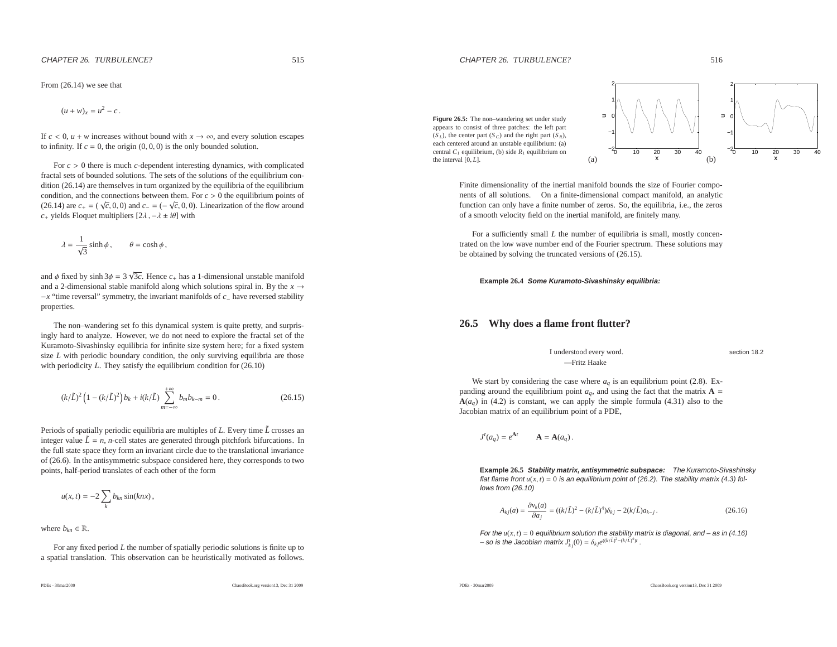CHAPTER 26. TURBULENCE? 515

**Figure 26.5:** The non–wandering set under study appears to consist of three patches: the left par<sup>t</sup> $(S_L)$ , the center part  $(S_C)$  and the right part  $(S_R)$ , each centered around an unstable equilibrium: (a) central *C*<sup>1</sup> equilibrium, (b) side *<sup>R</sup>*<sup>1</sup> equilibrium onthe interval  $[0, L]$ .  $(a)$ 



section 18.2

Finite dimensionality of the inertial manifold bounds the size of Fourier components of all solutions. On <sup>a</sup> finite-dimensional compac<sup>t</sup> manifold, an analytic function can only have <sup>a</sup> finite number of zeros. So, the equilibria, i.e., the zerosof <sup>a</sup> smooth velocity field on the inertial manifold, are finitely many.

For <sup>a</sup> sufficiently small *L* the number of equilibria is small, mostly concentrated on the low wave number end of the Fourier spectrum. These solutions maybe obtained by solving the truncated versions of (26.15).

#### **Example 26.4 Some Kuramoto-Sivashinsky equilibria:**

## **26.5 Why does <sup>a</sup> flame front flutter?**

I understood every word. —Fritz Haake

We start by considering the case where  $a_q$  is an equilibrium point (2.8). Expanding around the equilibrium point  $a_q$ , and using the fact that the matrix  $\mathbf{A} =$  $A(a_q)$  in (4.2) is constant, we can apply the simple formula (4.31) also to the Jacobian matrix of an equilibrium point of <sup>a</sup> PDE,

$$
J^t(a_q) = e^{\mathbf{A}t} \qquad \mathbf{A} = \mathbf{A}(a_q).
$$

**Example 26.5 Stability matrix, antisymmetric subspace:** The Kuramoto-Sivashinsky flat flame front *<sup>u</sup>*(*<sup>x</sup>*, *<sup>t</sup>*) <sup>=</sup> <sup>0</sup> is an equilibrium point of (26.2). The stability matrix (4.3) follows from (26.10)

$$
A_{kj}(a) = \frac{\partial v_k(a)}{\partial a_j} = ((k/\tilde{L})^2 - (k/\tilde{L})^4)\delta_{kj} - 2(k/\tilde{L})a_{k-j}.
$$
 (26.16)

For the  $u(x, t) = 0$  equilibrium solution the stability matrix is diagonal, and – as in (4.16)  $-$  so is the Jacobian matrix  $J_{kj}^t(0) = \delta_{kj} e^{((k/\tilde{L})^2 - (k/\tilde{L})^4)t}$ .

PDEs - 30mar2009

ChaosBook.org version13, Dec <sup>31</sup> <sup>2009</sup>

From (26.14) we see that

$$
(u+w)_x=u^2-c.
$$

If  $c < 0$ ,  $u + w$  increases without bound with  $x \to \infty$ , and every solution escapes to infinity. If  $c = 0$ , the origin  $(0, 0, 0)$  is the only bounded solution.

For *<sup>c</sup>* <sup>&</sup>gt; <sup>0</sup> there is much *<sup>c</sup>*-dependent interesting dynamics, with complicated fractal sets of bounded solutions. The sets of the solutions of the equilibrium condition (26.14) are themselves in turn organized by the equilibria of the equilibrium condition, and the connections between them. For *<sup>c</sup>* <sup>&</sup>gt; <sup>0</sup> the equilibrium points of (26.14) are *c*<sub>+</sub> = ( $\sqrt{c}$ , 0, 0) and *c*<sub>−</sub> = ( $-\sqrt{c}$ , 0, 0). Linearization of the flow around *c*<sub>+</sub> yields Floquet multipliers  $[2\lambda, -\lambda \pm i\theta]$  with

$$
\lambda = \frac{1}{\sqrt{3}} \sinh \phi, \qquad \theta = \cosh \phi,
$$

and  $\phi$  fixed by sinh  $3\phi = 3\sqrt{3c}$ . Hence  $c_+$  has a 1-dimensional unstable manifold and a 2-dimensional stable manifold along which solutions spiral in. By the  $x \rightarrow$  <sup>−</sup>*x* "time reversal" symmetry, the invariant manifolds of *<sup>c</sup>*<sup>−</sup> have reversed stability properties.

The non–wandering set fo this dynamical system is quite pretty, and surprisingly hard to analyze. However, we do not need to explore the fractal set of the Kuramoto-Sivashinsky equilibria for infinite size system here; for <sup>a</sup> fixed system size *<sup>L</sup>* with periodic boundary condition, the only surviving equilibria are those with periodicity *<sup>L</sup>*. They satisfy the equilibrium condition for (26.10)

$$
(k/\tilde{L})^2 \left(1 - (k/\tilde{L})^2\right) b_k + i(k/\tilde{L}) \sum_{m = -\infty}^{+\infty} b_m b_{k-m} = 0.
$$
 (26.15)

Periods of spatially periodic equilibria are multiples of *<sup>L</sup>*. Every time *<sup>L</sup>*˜crosses aninteger value  $\tilde{L} = n$ , *n*-cell states are generated through pitchfork bifurcations. In the full state space they form an invariant circle due to the translational invariance of (26.6). In the antisymmetric subspace considered here, they corresponds to twopoints, half-period translates of each other of the form

$$
u(x,t) = -2\sum_{k} b_{kn} \sin(knx),
$$

where  $b_{kn} \in \mathbb{R}$ .

For any fixed period *<sup>L</sup>* the number of spatially periodic solutions is finite up to <sup>a</sup> spatial translation. This observation can be heuristically motivated as follows.

PDEs - 30mar2009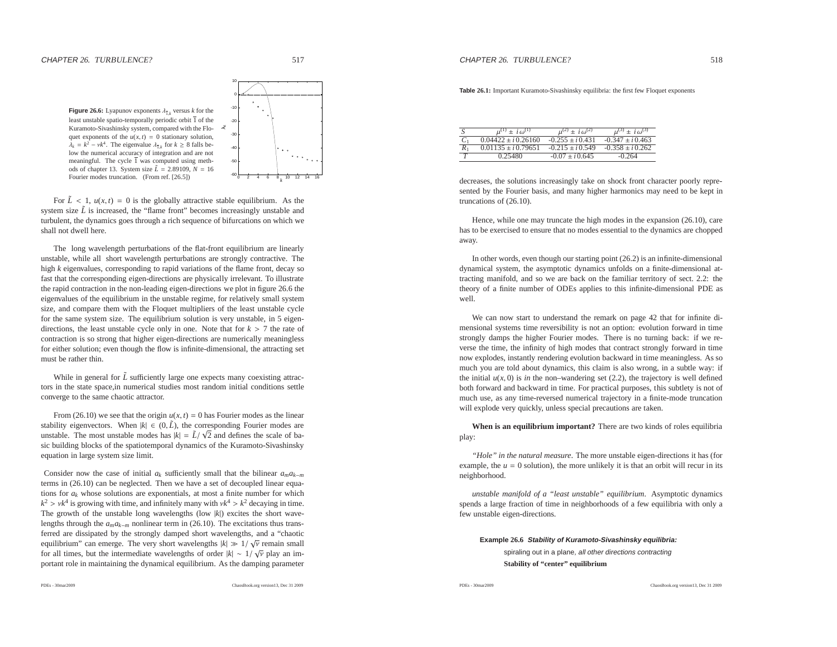**Figure 26.6:** Lyapunov exponents  $\lambda_{\overline{1},k}$  versus *k* for the least unstable spatio-temporally periodic orbit 1 of the Kuramoto-Sivashinsky system, compared with the Floquet exponents of the  $u(x, t) = 0$  stationary solution,  $\lambda_k = k^2 - \nu k^4$ . The eigenvalue  $\lambda_{\bar{1},k}$  for  $k \ge 8$  falls below the numerical accuracy of integration and are notmeaningful. The cycle  $\overline{1}$  was computed using methods of chapter 13. System size  $\tilde{L} = 2.89109$ ,  $N = 16$ Fourier modes truncation. (From ref. [26.5]) $\overline{60}$ 



For  $\tilde{L}$  < 1,  $u(x, t) = 0$  is the globally attractive stable equilibrium. As the system size  $\tilde{L}$  is increased, the "flame front" becomes increasingly unstable and turbulent, the dynamics goes through <sup>a</sup> rich sequence of bifurcations on which weshall not dwell here.

The long wavelength perturbations of the flat-front equilibrium are linearly unstable, while all short wavelength perturbations are strongly contractive. The high *<sup>k</sup>* eigenvalues, corresponding to rapid variations of the flame front, decay so fast that the corresponding eigen-directions are physically irrelevant. To illustrate the rapid contraction in the non-leading eigen-directions we <sup>p</sup>lot in figure 26.6 the eigenvalues of the equilibrium in the unstable regime, for relatively small system size, and compare them with the Floquet multipliers of the least unstable cycle for the same system size. The equilibrium solution is very unstable, in 5 eigendirections, the least unstable cycle only in one. Note that for  $k > 7$  the rate of contraction is so strong that higher eigen-directions are numerically meaningless for either solution; even though the flow is infinite-dimensional, the attracting setmust be rather thin.

While in general for  $\tilde{L}$  sufficiently large one expects many coexisting attrac tors in the state space,in numerical studies most random initial conditions settleconverge to the same chaotic attractor.

From (26.10) we see that the origin  $u(x, t) = 0$  has Fourier modes as the linear stability eigenvectors. When  $|k| \in (0, \tilde{L})$ , the corresponding Fourier modes are unstable. The most unstable modes has  $|k| = L/\sqrt{2}$  and defines the scale of basic building blocks of the spatiotemporal dynamics of the Kuramoto-Sivashinskyequation in large system size limit.

Consider now the case of initial  $a_k$  sufficiently small that the bilinear  $a_m a_{k-m}$  terms in (26.10) can be neglected. Then we have <sup>a</sup> set of decoupled linear equations for  $a_k$  whose solutions are exponentials, at most a finite number for which  $k^2 > v^2$  is growing with time, and infinitely many with  $v^2 > k^2$  decaying in time. The growth of the unstable long wavelengths (low  $|k|$ ) excites the short wavelengths through the  $a_ma_{k-m}$  nonlinear term in (26.10). The excitations thus transferred are dissipated by the strongly damped short wavelengths, and <sup>a</sup> "chaoticequilibrium" can emerge. The very short wavelengths  $|k| \gg 1/\sqrt{v}$  remain small<br>for all times, but the intermediate wavelengths of order  $|k| = 1/\sqrt{v}$  play an imfor all times, but the intermediate wavelengths of order  $|k| \sim 1/\sqrt{\nu}$  play an important role in maintaining the dynamical equilibrium. As the damping parameter

**Table 26.1:** Important Kuramoto-Sivashinsky equilibria: the first few Floquet exponents

| $0.04422 + i 0.26160$<br>$-0.255 + i 0.431$<br>$0.01135 \pm i 0.79651$<br>$-0.215 + i 0.549$<br>$R_1$<br>T<br>$-0.07 + i 0.645$<br>0.25480<br>$-0.264$ | $\mu^{(1)} \pm i \omega^{(1)}$ | $\mu^{(2)} \pm i \omega^{(2)}$ | $\mu^{(3)} \pm i \omega^{(3)}$ |
|--------------------------------------------------------------------------------------------------------------------------------------------------------|--------------------------------|--------------------------------|--------------------------------|
|                                                                                                                                                        |                                |                                | $-0.347 \pm i 0.463$           |
|                                                                                                                                                        |                                |                                | $-0.358 \pm i 0.262$           |
|                                                                                                                                                        |                                |                                |                                |

decreases, the solutions increasingly take on shock front character poorly represented by the Fourier basis, and many higher harmonics may need to be kept intruncations of (26.10).

Hence, while one may truncate the high modes in the expansion (26.10), care has to be exercised to ensure that no modes essential to the dynamics are choppedaway.

In other words, even though our starting point (26.2) is an infinite-dimensional dynamical system, the asymptotic dynamics unfolds on <sup>a</sup> finite-dimensional attracting manifold, and so we are back on the familiar territory of sect. 2.2: the theory of <sup>a</sup> finite number of ODEs applies to this infinite-dimensional PDE aswell.

We can now start to understand the remark on page 42 that for infinite dimensional systems time reversibility is not an option: evolution forward in time strongly damps the higher Fourier modes. There is no turning back: if we reverse the time, the infinity of high modes that contract strongly forward in time now explodes, instantly rendering evolution backward in time meaningless. As so much you are told about dynamics, this claim is also wrong, in <sup>a</sup> subtle way: if the initial  $u(x, 0)$  is *in* the non–wandering set (2.2), the trajectory is well defined both forward and backward in time. For practical purposes, this subtlety is not of much use, as any time-reversed numerical trajectory in <sup>a</sup> finite-mode truncationwill explode very quickly, unless special precautions are taken.

**When is an equilibrium important?** There are two kinds of roles equilibria play:

*"Hole" in the natural measure*. The more unstable eigen-directions it has (forexample, the  $u = 0$  solution), the more unlikely it is that an orbit will recur in its neighborhood.

*unstable manifold of <sup>a</sup> "least unstable" equilibrium*. Asymptotic dynamics spends <sup>a</sup> large fraction of time in neighborhoods of <sup>a</sup> few equilibria with only <sup>a</sup>few unstable eigen-directions.

**Example 26.6 Stability of Kuramoto-Sivashinsky equilibria:**

PDEs - 30mar2009

spiraling out in <sup>a</sup> plane, all other directions contracting**Stability of "center" equilibrium**

PDEs - 30mar2009

ChaosBook.org version13, Dec <sup>31</sup> <sup>2009</sup>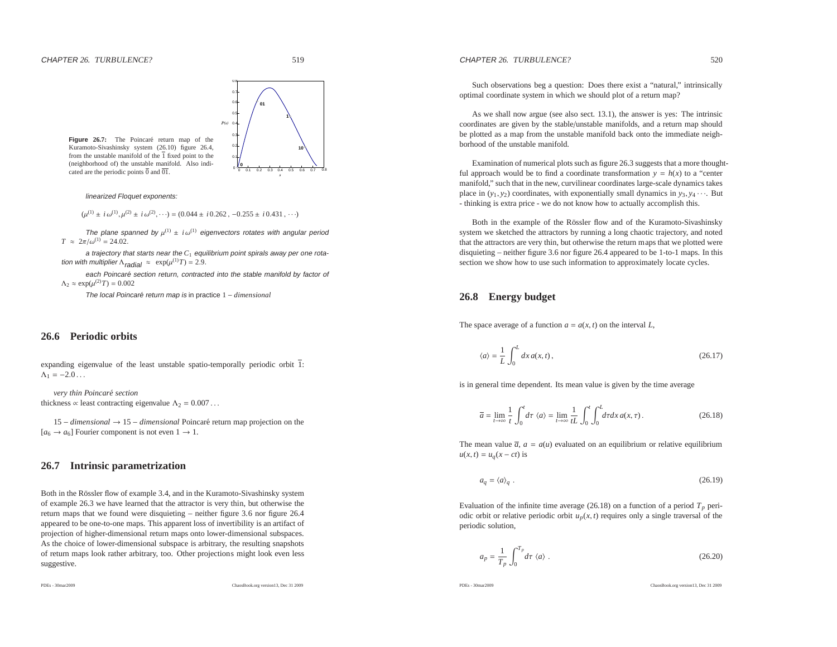

linearized Floquet exponents:

cated are the periodic points <sup>0</sup> and

**Figure** 26.7: The Poincaré return map of the Kuramoto-Sivashinsky system (26.10) figure 26.4, from the unstable manifold of the <sup>1</sup> fixed point to the

 $(\mu^{(1)} \pm i\,\omega^{(1)}, \mu^{(2)} \pm i\,\omega^{(2)}, \cdots) = (0.044 \pm i\,0.262\,,-0.255 \pm i\,0.431\,,\cdots)$ 

The plane spanned by  $\mu^{(1)} \pm i \omega^{(1)}$  eigenvectors rotates with angular period  $T \approx 2\pi/\omega^{(1)} = 24.02.$ 

<sup>a</sup> trajectory that starts near the *<sup>C</sup>*<sup>1</sup> equilibrium point spirals away per one rotation with multiplier  $\Lambda_{radial} \approx \exp(\mu^{(1)}T) = 2.9$ .

each Poincaré section return, contracted into the stable manifold by factor of  $\Lambda_2 \approx \exp(\mu^{(2)}T) = 0.002$ 

The local Poincaré return map is in practice 1 – *dimensional* 

## **26.6 Periodic orbits**

expanding eigenvalue of the least unstable spatio-temporally periodic orbit 1:  $\Lambda_1 = -2.0 \ldots$ 

*very thin Poincar´e section*thickness  $\propto$  least contracting eigenvalue  $\Lambda_2 = 0.007...$ 

15 – *dimensional* → 15 – *dimensional* Poincaré return map projection on the  $[a_6 \rightarrow a_6]$  Fourier component is not even  $1 \rightarrow 1$ .

## **26.7 Intrinsic parametrization**

Both in the Rössler flow of example 3.4, and in the Kuramoto-Sivashinsky system of example 26.3 we have learned that the attractor is very thin, but otherwise the return maps that we found were disquieting – neither figure 3.6 nor figure 26.4 appeared to be one-to-one maps. This apparen<sup>t</sup> loss of invertibility is an artifact of projection of higher-dimensional return maps onto lower-dimensional subspaces. As the choice of lower-dimensional subspace is arbitrary, the resulting snapshots of return maps look rather arbitrary, too. Other projections might look even lesssuggestive.

PDEs - 30mar2009

ChaosBook.org version13, Dec <sup>31</sup> <sup>2009</sup>

CHAPTER 26. TURBULENCE? 520

Such observations beg <sup>a</sup> question: Does there exist <sup>a</sup> "natural," intrinsicallyoptimal coordinate system in which we should plot of <sup>a</sup> return map?

As we shall now argue (see also sect. 13.1), the answer is yes: The intrinsic coordinates are given by the stable/unstable manifolds, and <sup>a</sup> return map should be plotted as <sup>a</sup> map from the unstable manifold back onto the immediate neighborhood of the unstable manifold.

Examination of numerical plots such as figure 26.3 suggests that <sup>a</sup> more thoughtful approach would be to find a coordinate transformation  $y = h(x)$  to a "center manifold," such that in the new, curvilinear coordinates large-scale dynamics takesplace in  $(y_1, y_2)$  coordinates, with exponentially small dynamics in  $y_3, y_4 \cdots$ . But - thinking is extra price - we do not know how to actually accomplish this.

Both in the example of the Rössler flow and of the Kuramoto-Sivashinsky system we sketched the attractors by running <sup>a</sup> long chaotic trajectory, and noted that the attractors are very thin, but otherwise the return maps that we plotted were disquieting – neither figure 3.6 nor figure 26.4 appeared to be 1-to-1 maps. In this section we show how to use such information to approximately locate cycles.

## **26.8 Energy budget**

The space average of a function  $a = a(x, t)$  on the interval  $L$ ,

$$
\langle a \rangle = \frac{1}{L} \int_0^L dx \, a(x, t), \tag{26.17}
$$

is in general time dependent. Its mean value is given by the time average

$$
\overline{a} = \lim_{t \to \infty} \frac{1}{t} \int_0^t d\tau \ \langle a \rangle = \lim_{t \to \infty} \frac{1}{tL} \int_0^t \int_0^L d\tau dx \, a(x, \tau).
$$
 (26.18)

The mean value  $\overline{a}$ ,  $a = a(u)$  evaluated on an equilibrium or relative equilibrium  $u(x, t) = u_q(x - ct)$  is

$$
a_q = \langle a \rangle_q \ . \tag{26.19}
$$

Evaluation of the infinite time average (26.18) on <sup>a</sup> function of <sup>a</sup> period *<sup>T</sup><sup>p</sup>* periodic orbit or relative periodic orbit  $u_p(x, t)$  requires only a single traversal of the periodic solution,

$$
a_p = \frac{1}{T_p} \int_0^{T_p} d\tau \langle a \rangle . \tag{26.20}
$$

PDEs - 30mar2009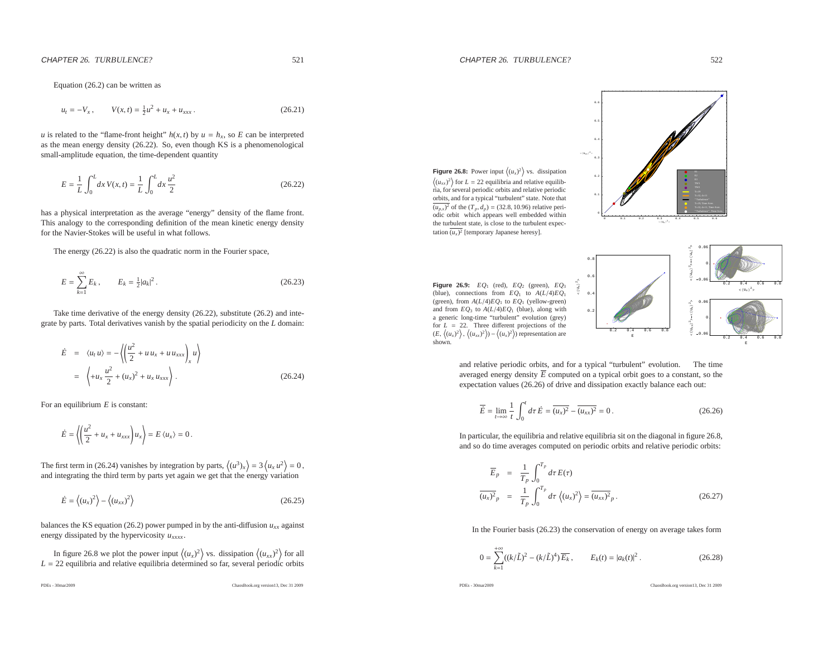$$
u_t = -V_x, \qquad V(x,t) = \frac{1}{2}u^2 + u_x + u_{xxx} \,. \tag{26.21}
$$

*u* is related to the "flame-front height"  $h(x, t)$  by  $u = h_x$ , so  $E$  can be interpreted as the mean energy density (26.22). So, even though KS is <sup>a</sup> phenomenologicalsmall-amplitude equation, the time-dependent quantity

$$
E = \frac{1}{L} \int_0^L dx \, V(x, t) = \frac{1}{L} \int_0^L dx \, \frac{u^2}{2} \tag{26.22}
$$

has <sup>a</sup> physical interpretation as the average "energy" density of the flame front. This analogy to the corresponding definition of the mean kinetic energy densityfor the Navier-Stokes will be useful in what follows.

The energy (26.22) is also the quadratic norm in the Fourier space,

$$
E = \sum_{k=1}^{\infty} E_k, \qquad E_k = \frac{1}{2} |a_k|^2. \tag{26.23}
$$

Take time derivative of the energy density (26.22), substitute (26.2) and integrate by parts. Total derivatives vanish by the spatial periodicity on the *<sup>L</sup>* domain:

$$
\dot{E} = \langle u_t u \rangle = -\left\langle \left( \frac{u^2}{2} + u u_x + u u_{xxx} \right)_x u \right\rangle
$$
  
=  $\left\langle +u_x \frac{u^2}{2} + (u_x)^2 + u_x u_{xxx} \right\rangle$ . (26.24)

For an equilibrium *<sup>E</sup>* is constant:

$$
\dot{E} = \left\langle \left( \frac{u^2}{2} + u_x + u_{xxx} \right) u_x \right\rangle = E \left\langle u_x \right\rangle = 0.
$$

The first term in (26.24) vanishes by integration by parts,  $\langle (u^3)_x \rangle = 3 \langle u_x u^2 \rangle = 0$ , and integrating the third term by parts yet again we get that the energy variation

$$
\dot{E} = \left\langle (u_x)^2 \right\rangle - \left\langle (u_{xx})^2 \right\rangle \tag{26.25}
$$

balances the KS equation (26.2) power pumped in by the anti-diffusion *<sup>u</sup>xx* against energy dissipated by the hypervicosity *<sup>u</sup>xxxx* .

In figure 26.8 we plot the power input  $\langle (u_x)^2 \rangle$  vs. dissipation  $\langle (u_{xx})^2 \rangle$  for all *L* <sup>=</sup> <sup>22</sup> equilibria and relative equilibria determined so far, several periodic orbits

ChaosBook.org version13, Dec <sup>31</sup> <sup>2009</sup>







**Figure 26.9:** *EQ*<sup>1</sup> (red), *EQ*<sup>2</sup> (green), *EQ*<sup>3</sup> (blue), connections from  $EQ_1$  to  $A(L/4)EQ_1$ (green), from  $A(L/4)EQ_1$  to  $EQ_1$  (yellow-green) and from  $EQ_3$  to  $A(L/4)EQ_1$  (blue), along with <sup>a</sup> generic long-time "turbulent" evolution (grey)for  $L = 22$ . Three different projections of the  $(E, \langle (u_x)^2 \rangle, \langle (u_{xx})^2 \rangle) - \langle (u_x)^2 \rangle$  representation are shown.



and relative periodic orbits, and for a typical "turbulent" evolution. The time averaged energy density *<sup>E</sup>* computed on <sup>a</sup> typical orbit goes to <sup>a</sup> constant, so the expectation values (26.26) of drive and dissipation exactly balance each out:

0.20.40.60.8

$$
\overline{E} = \lim_{t \to \infty} \frac{1}{t} \int_0^t d\tau \, \dot{E} = \overline{(u_x)^2} - \overline{(u_{xx})^2} = 0 \,. \tag{26.26}
$$

In particular, the equilibria and relative equilibria sit on the diagonal in figure 26.8, and so do time averages computed on periodic orbits and relative periodic orbits:

$$
\overline{E}_p = \frac{1}{T_p} \int_0^{T_p} d\tau E(\tau) \n\overline{(u_x)^2}_p = \frac{1}{T_p} \int_0^{T_p} d\tau \left\langle (u_x)^2 \right\rangle = \overline{(u_{xx})^2}_p.
$$
\n(26.27)

In the Fourier basis (26.23) the conservation of energy on average takes form

$$
0 = \sum_{k=1}^{+\infty} ((k/\tilde{L})^2 - (k/\tilde{L})^4) \overline{E_k}, \qquad E_k(t) = |a_k(t)|^2.
$$
 (26.28)

PDEs - 30mar2009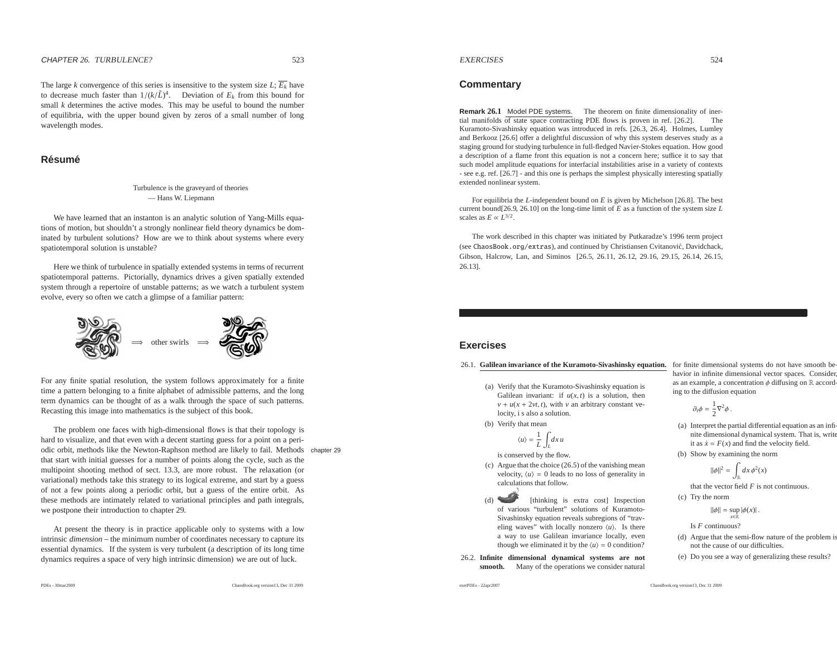## CHAPTER 26. TURBULENCE? 523

The large  $k$  convergence of this series is insensitive to the system size  $L$ ;  $E_k$  have to decrease much faster than  $1/(k/\tilde{L})^4$ . Deviation of  $E_k$  from this bound for small *k* determines the active modes. This may be useful to bound the number of equilibria, with the upper bound given by zeros of <sup>a</sup> small number of longwavelength modes.

# **Resum ´ e´**

### Turbulence is the graveyard of theories— Hans W. Liepmann

We have learned that an instanton is an analytic solution of Yang-Mills equations of motion, but shouldn't <sup>a</sup> strongly nonlinear field theory dynamics be dominated by turbulent solutions? How are we to think about systems where everyspatiotemporal solution is unstable?

Here we think of turbulence in spatially extended systems in terms of recurrent spatiotemporal patterns. Pictorially, dynamics drives <sup>a</sup> given spatially extended system through <sup>a</sup> repertoire of unstable patterns; as we watch <sup>a</sup> turbulent systemevolve, every so often we catch <sup>a</sup> glimpse of <sup>a</sup> familiar pattern:



For any finite spatial resolution, the system follows approximately for <sup>a</sup> finite time <sup>a</sup> pattern belonging to <sup>a</sup> finite alphabet of admissible patterns, and the long term dynamics can be thought of as <sup>a</sup> walk through the space of such patterns. Recasting this image into mathematics is the subject of this book.

The problem one faces with high-dimensional flows is that their topology is hard to visualize, and that even with <sup>a</sup> decent starting guess for <sup>a</sup> point on <sup>a</sup> periodic orbit, methods like the Newton-Raphson method are likely to fail. Methods chapter <sup>29</sup>that start with initial guesses for <sup>a</sup> number of points along the cycle, such as the multipoint shooting method of sect. 13.3, are more robust. The relaxation (or variational) methods take this strategy to its logical extreme, and start by <sup>a</sup> guess of not <sup>a</sup> few points along <sup>a</sup> periodic orbit, but <sup>a</sup> guess of the entire orbit. As these methods are intimately related to variational principles and path integrals, we postpone their introduction to chapter 29.

At presen<sup>t</sup> the theory is in practice applicable only to systems with <sup>a</sup> low intrinsic *dimension* – the minimum number of coordinates necessary to capture its essential dynamics. If the system is very turbulent (a description of its long timedynamics requires <sup>a</sup> space of very high intrinsic dimension) we are out of luck.

#### PDEs - 30mar2009

ChaosBook.org version13, Dec <sup>31</sup> <sup>2009</sup>

### **Commentary**

**Remark 26.1** Model PDE systems. The theorem on finite dimensionality of inertial manifolds of state space contracting PDE flows is proven in ref. [26.2]. The Kuramoto-Sivashinsky equation was introduced in refs. [26.3, 26.4]. Holmes, Lumley and Berkooz [26.6] <sup>o</sup>ffer <sup>a</sup> delightful discussion of why this system deserves study as <sup>a</sup> staging ground for studying turbulence in full-fledged Navier-Stokes equation. How good <sup>a</sup> description of <sup>a</sup> flame front this equation is not <sup>a</sup> concern here; suffice it to say that such model amplitude equations for interfacial instabilities arise in <sup>a</sup> variety of contexts - see e.g. ref. [26.7] - and this one is perhaps the simplest physically interesting spatiallyextended nonlinear system.

For equilibria the *<sup>L</sup>*-independent bound on *<sup>E</sup>* is <sup>g</sup>iven by Michelson [26.8]. The best current bound[26.9, 26.10] on the long-time limit of *<sup>E</sup>* as <sup>a</sup> function of the system size *<sup>L</sup>* scales as  $E \propto L^{3/2}$ .

The work described in this chapter was initiated by Putkaradze's 1996 term project(see ChaosBook.org/extras), and continued by Christiansen Cvitanović, Davidchack, Gibson, Halcrow, Lan, and Siminos [26.5, 26.11, 26.12, 29.16, 29.15, 26.14, 26.15, 26.13].

#### **Exercises**

#### 26.1. **Galilean invariance of the Kuramoto-Sivashinsky equation.** for finite dimensional systems do not have smooth be-

(a) Verify that the Kuramoto-Sivashinsky equation isGalilean invariant: if  $u(x, t)$  is a solution, then  $v + u(x + 2vt, t)$ , with *v* an arbitrary constant velocity, i <sup>s</sup> also <sup>a</sup> solution.

(b) Verify that mean

$$
\langle u \rangle = \frac{1}{L} \int_{L} dx \, u
$$

is conserved by the flow.

- (c) Argue that the choice (26.5) of the vanishing meanvelocity,  $\langle u \rangle = 0$  leads to no loss of generality in calculations that follow.
- (d)[thinking is extra cost] Inspection of various "turbulent" solutions of Kuramoto-Sivashinsky equation reveals subregions of "traveling waves" with locally nonzero  $\langle u \rangle$ . Is there <sup>a</sup> way to use Galilean invariance locally, eventhough we eliminated it by the  $\langle u \rangle = 0$  condition?
- 26.2. **Infinite dimensional dynamical systems are not**smooth. Many of the operations we consider natural

exerPDEs - 22apr2007

havior in infinite dimensional vector spaces. Consider, as an example, a concentration  $\phi$  diffusing on R according to the diffusion equation

$$
\partial_t \phi = \frac{1}{2} \nabla^2 \phi \,.
$$

- (a) Interpret the partial differential equation as an infinite dimensional dynamical system. That is, writeit as  $\dot{x} = F(x)$  and find the velocity field.
- (b) Show by examining the norm

$$
\|\phi\|^2 = \int_{\mathbb{R}} dx \, \phi^2(x)
$$

that the vector field *<sup>F</sup>* is not continuous.

(c) Try the norm

 $\|\phi\| = \sup_{x \in \mathbb{R}} |\phi(x)|$ . *x*∈R

Is *<sup>F</sup>* continuous?

- (d) Argue that the semi-flow nature of the problem isnot the cause of our difficulties.
- (e) Do you see <sup>a</sup> way of generalizing these results?